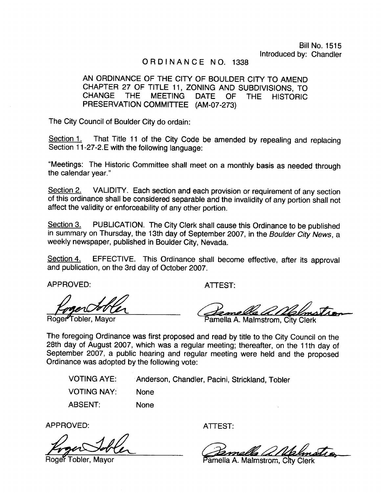# ORDINANCE NO. 1338

# AN ORDINANCE OF THE CITY OF BOULDER CITY TO AMEND CHAPTER 27 OF TITLE 11, ZONING AND SUBDIVISIONS, TO CHANGE THE MEETING DATE OF THE HISTORIC PRESERVATION COMMITTEE (AM-07-273)

The City Council of Boulder City do ordain:

Section 1. That Title 11 of the City Code be amended by repealing and replacing Section 11-27-2. E with the following language:

Meetings: The Historic Committee shall meet on <sup>a</sup> monthly basis as needed through the calendar year."

Section 2. VALIDITY. Each section and each provision or requirement of any section of this ordinance shall be considered separable and the invalidity of any portion shall not affect the validity or enforceability of any other portion.

Section 3. PUBLICATION. The City Clerk shall cause this Ordinance to be published in summary on Thursday, the 13th day of September 2007, in the Boulder City News, a weekly newspaper, published in Boulder City, Nevada.

Section 4. EFFECTIVE. This Ordinance shall become effective, after its approval and publication, on the 3rd day of October 2007.

APPROVED:

Roger<sup>4</sup>Tobler, Mayor

ATTEST:

ATTEST:<br>Come de a Molmotron

Pamella A. Malmstrom, City Clerk

The foregoing Ordinance was first proposed and read by title to the City Council on the 28th day of August 2007, which was <sup>a</sup> regular meeting; thereafter, on the 11th day of September 2007, a public hearing and regular meeting were held and the proposed Ordinance was adopted by the following vote:

VOTING AYE: VOTING NAY: ABSENT: Anderson, Chandler, Pacini, Strickland, Tobler None None

APPROVED:

er Tobler, Mavor

ATTEST:

 $d\ell$ 

Pamella A. Malmstrom, City Clerk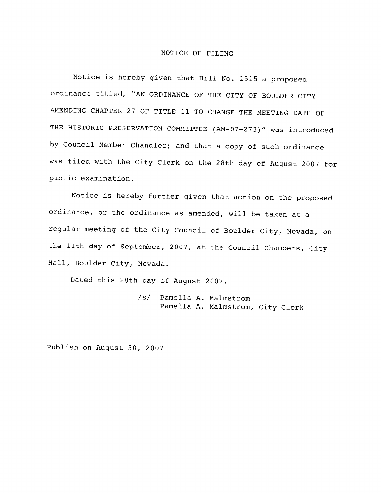#### NOTICE OF FILING

Notice is hereby given that Bill No. <sup>1515</sup> <sup>a</sup> proposed ordinance titled, " AN ORDINANCE OF THE CITY OF BOULDER CITY AMENDING CHAPTER 27 OF TITLE 11 TO CHANGE THE MEETING DATE OF THE HISTORIC PRESERVATION COMMITTEE (AM-07-273)" was introduced by Council Member Chandler; and that <sup>a</sup> copy of such ordinance was filed with the City Clerk on the 28th day of August <sup>2007</sup> for public examination.

Notice is hereby further given that action on the proposed ordinance, or the ordinance as amended, will be taken at <sup>a</sup> regular meeting of the City Council of Boulder City, Nevada, on the 11th day of September, 2007, at the Council Chambers, City Hall, Boulder City, Nevada.

Dated this 28th day of August 2007.

s/ Pamella A. Malmstrom Pamella A. Malmstrom, City Clerk

Publish on August 30, <sup>2007</sup>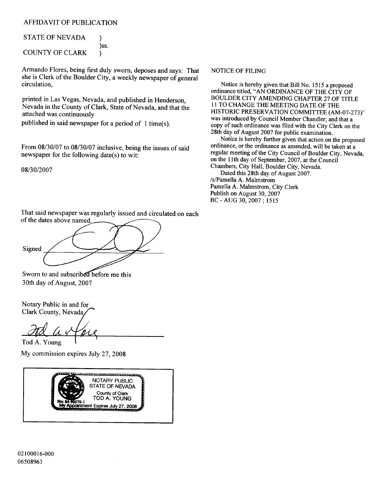## AFFIDAVIT OF PUBLICATION

STATE OF NEVADA ) ℩ ss. COUNTY OF CLARK ) ℩

Armando Flores, being first duly sworn, deposes and says: That she is Clerk of the Boulder City, <sup>a</sup> weekly newspaper of general circulation,

printed in Las Vegas, Nevada, and published in Henderson, Nevada in the County of Clark, State of Nevada, and that the attached was continuously

published in said newspaper for a period of  $1$  time(s).

From  $08/30/07$  to  $08/30/07$  inclusive, being the issues of said newspaper for the following date(s) to wit:

08/30/2007

## That said newspaper was regularly issued and circulated on each of the dates above named.

Signed

## Sworn to and subscribed before me this 30th day of August, 2007

Notary Public in and for Clark County, Nevada

Tod A. Young My commission expires July 27, 2008



#### NOTICE OF FILING

Notice is hereby given that Bill No. <sup>1515</sup> <sup>a</sup> proposed ordinance titled, "AN ORDINANCE OF THE CITY OF BOULDER CITY AMENDING CHAPTER 27 OF TITLE <sup>11</sup> TO CHANGE THE MEETING DATE OF THE HISTORIC PRESERVATION COMMITTEE (AM-07-273)" was introduced by Council Member Chandler; and that <sup>a</sup> copy of such ordinance was filed with the City Clerk on the 28th day of August 2007 for public examination.

Notice is hereby further given that action on the proposed ordinance, or the ordinance as amended, will be taken at a regular meeting of the City Council of Boulder City, Nevada, on the lIth day of September, 2007, at the Council Chambers, City Hall, Boulder City, Nevada.

Dated this 28th day of August 2007. s/Pamella A. Malmstrom Pamella A. Malmstrom, City Clerk Publish on August 30, 2007 BC - AUG 30, 2007 ; 1515

02100016-000 06508963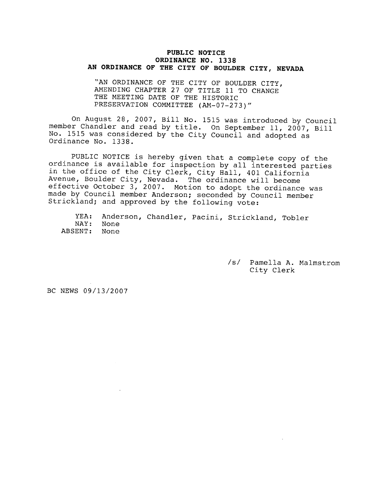#### PUBLIC NOTICE ORDINANCE NO. 1338 AN ORDINANCE OF THE CITY OF BOULDER CITY, NEVADA

"AN ORDINANCE OF THE CITY OF BOULDER CITY, AMENDING CHAPTER 27 OF TITLE 11 TO CHANGE THE MEETING DATE OF THE HISTORIC PRESERVATION COMMITTEE (AM-07-273)"

On August 28, 2007, Bill No. <sup>1515</sup> was introduced by Council member Chandler and read by title. On September 11, 2007, Bill No. <sup>1515</sup> was considered by the City Council and adopted as Ordinance No. 1338.

PUBLIC NOTICE is hereby given that <sup>a</sup> complete copy of the ordinance is available for inspection by all interested parties in the office of the City Clerk, City Hall, <sup>401</sup> California Avenue, Boulder City, Nevada. The ordinance will become effective October 3, 2007. Motion to adopt the ordinance was made by Council member Anderson; seconded by Council member Strickland; and approved by the following vote:

YEA: NAY: ABSENT: Anderson, Chandler, Pacini, Strickland, Tobler None None

> s/ Pamella A. Malmstrom City Clerk

BC NEWS 09/13/2007